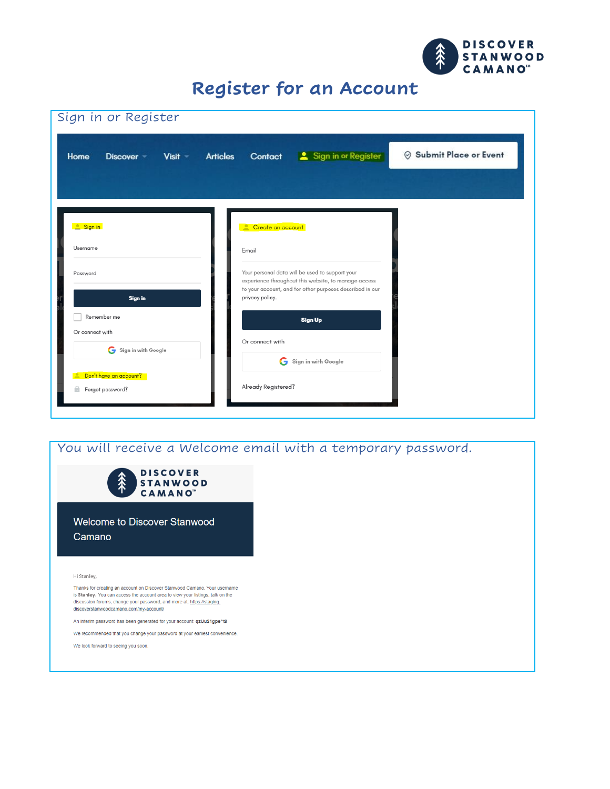

### **Register for an Account**

| Sign in or Register                            |                                                                                                         |                         |
|------------------------------------------------|---------------------------------------------------------------------------------------------------------|-------------------------|
| <b>Articles</b><br>Home<br>Visit<br>Discover - | Sign in or Register<br>Contact                                                                          | ⊗ Submit Place or Event |
|                                                |                                                                                                         |                         |
|                                                |                                                                                                         |                         |
| Sign in                                        | Create an account                                                                                       |                         |
| Username                                       | Email                                                                                                   |                         |
| Password                                       | Your personal data will be used to support your<br>experience throughout this website, to manage access |                         |
| Sign in                                        | to your account, and for other purposes described in our<br>privacy policy.                             |                         |
| Remember me<br>Or connect with                 | <b>Sign Up</b>                                                                                          |                         |
| Sign in with Google                            | Or connect with                                                                                         |                         |
| Don't have an account?                         | Sign in with Google                                                                                     |                         |
| a<br>Forgot password?                          | Already Registered?                                                                                     |                         |
|                                                |                                                                                                         |                         |

#### You will receive a Welcome email with a temporary password.**DISCOVER STANWOOD CAMANO** Welcome to Discover Stanwood Camano Hi Stanley, Thanks for creating an account on Discover Stanwood Camano. Your username is Stanley. You can access the account area to view your listings, talk on the discussion forums, change your password, and more at: https://staging. discoverstanwoodcamano.com/my-account/ An interim password has been generated for your account: qzUu21gpe^t8 We recommended that you change your password at your earliest convenience. We look forward to seeing you soon.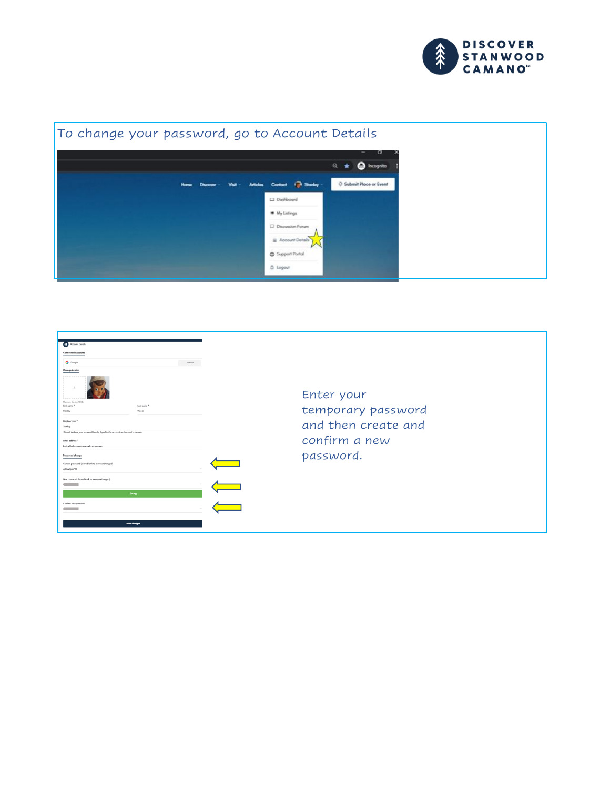



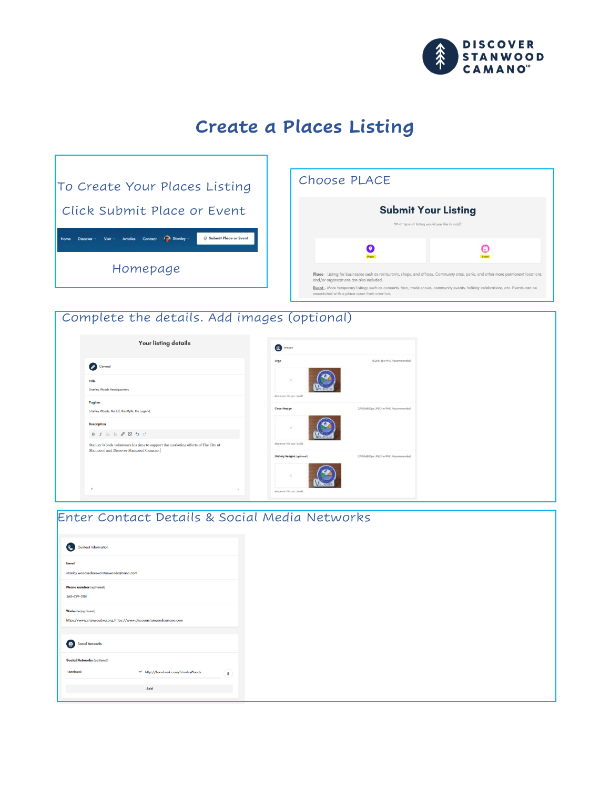

# **Create a Places Listing**

| To Create Your Places Listing                                                                                               |                                                               | Choose PLACE                                                                                                                                                                     |   |
|-----------------------------------------------------------------------------------------------------------------------------|---------------------------------------------------------------|----------------------------------------------------------------------------------------------------------------------------------------------------------------------------------|---|
| Click Submit Place or Event                                                                                                 |                                                               | <b>Submit Your Listing</b><br>What type of listing would you like to add?                                                                                                        |   |
| ◎ Submit Place or Event<br>Stanley<br>Home<br><b>Discover</b><br>Visit<br><b>Articles</b><br>Contact                        |                                                               | О                                                                                                                                                                                | е |
| Homepage                                                                                                                    |                                                               | Place - Listing for businesses such as restaurants, shops, and offices. Community sites, parks, and other more permanent locations<br>and/or organizations are also included.    |   |
|                                                                                                                             |                                                               | Event - More temporary listings such as concerts, fairs, trade shows, community events, holiday celebrations, etc. Events can be<br>associated with a place upon their creation. |   |
|                                                                                                                             |                                                               |                                                                                                                                                                                  |   |
| Complete the details. Add images (optional)                                                                                 |                                                               |                                                                                                                                                                                  |   |
| <b>Your listing details</b>                                                                                                 | the <b>Images</b>                                             |                                                                                                                                                                                  |   |
| Ceneral                                                                                                                     | Logo                                                          | 512x512px PNG Recommended                                                                                                                                                        |   |
| Title<br>Stanley Woods Headquarters                                                                                         |                                                               |                                                                                                                                                                                  |   |
| <b>Tagline</b><br>Stanley Woods, the Elf, the Myth, the Legend.                                                             | Maximum file size: 16 MB.<br>Cover image                      | 2400xl600px JPEG or PNG Recommended                                                                                                                                              |   |
| <b>Description</b><br>$B \quad I \quad \equiv \quad \mathscr{P} \quad \mathscr{C} \quad \mathfrak{O} \quad \mathbb{C}$      |                                                               |                                                                                                                                                                                  |   |
| Stanley Woods volunteers his time to support the marketing efforts of The City of<br>Stanwood and Discover Stanwood Camano. | Maximum file size: 16 MB.                                     |                                                                                                                                                                                  |   |
|                                                                                                                             | <b>Oallery Images (optional)</b><br>Maximum file size: 16 MB. | 2400x1600px JPEG or PNG Recommended                                                                                                                                              |   |

| Enter Contact Details & Social Media Networks                                                   |  |
|-------------------------------------------------------------------------------------------------|--|
| Contact Information                                                                             |  |
| <b>Email</b><br>stanley.woodsediscoverstanwoodcamano.com                                        |  |
| Phono number (optional)<br>360-629-2181                                                         |  |
| <b>Website (optional)</b><br>https://www.stanwoodwa.org, https://www.discoverstanwoodcamano.com |  |
| Social Networks                                                                                 |  |
| Social Networks (optional)                                                                      |  |
| ⋒<br>▽ http://facebook.com/StanleyWoods<br>Facebook                                             |  |
| Add                                                                                             |  |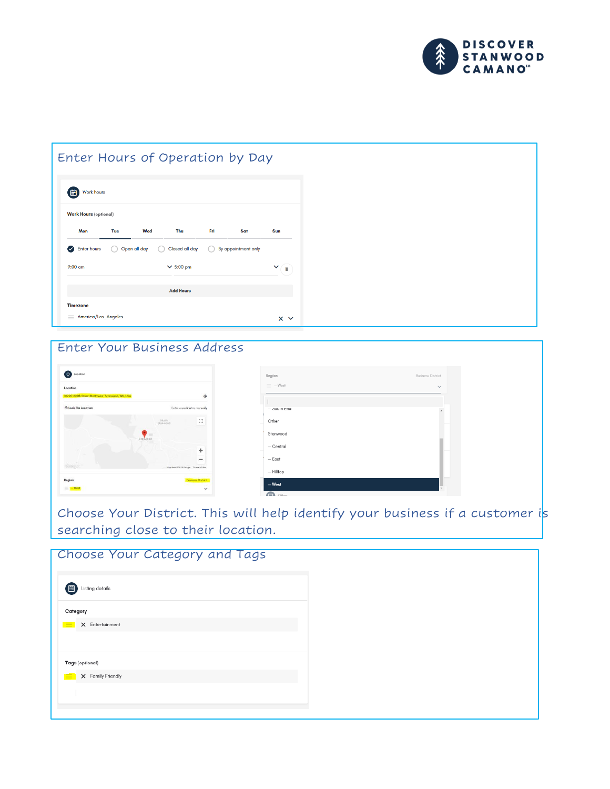

#### Enter Hours of Operation by Day

| <b>Work Hours</b> (optional) |                |     |                  |     |                     |            |
|------------------------------|----------------|-----|------------------|-----|---------------------|------------|
| Mon                          | Tue            | Wed | Thu              | Fri | Sat                 | <b>Sun</b> |
| <b>Enter hours</b><br>W      | O Open all day |     | Closed all day   |     | By appointment only |            |
| $9:00$ am                    |                |     | $\times$ 5:00 pm |     |                     | п          |
|                              |                |     | <b>Add Hours</b> |     |                     |            |

#### Enter Your Business Address

| Location                                        |                                    |                          |
|-------------------------------------------------|------------------------------------|--------------------------|
| 10220 270th Street Northwest, Stamwood, WA, USA |                                    | ۵                        |
| <b>C</b> Lock Pin Location                      | Enter coordinates manually         |                          |
|                                                 | North:<br>Stanwood                 | 8                        |
|                                                 | Stanwood                           |                          |
|                                                 |                                    | ÷                        |
|                                                 |                                    | $\overline{\phantom{a}}$ |
| Seeds.                                          | Map data @2020 Google Terms of Use |                          |

| Region          | <b>Business District</b> |
|-----------------|--------------------------|
| $\equiv -$ West | $\checkmark$             |
|                 |                          |
| $-$ ovum cnu    |                          |
| Other           |                          |
| Stanwood        |                          |
| $-$ Central     |                          |
| $-$ East        |                          |
| $-$ Hilltop     |                          |
| $-$ West        |                          |

Choose Your District. This will help identify your business if a customer is searching close to their location.

| Choose Your Category and Tags |  |
|-------------------------------|--|
| 【闓】<br>Listing details        |  |
| Category                      |  |
| X Entertainment<br>$=$        |  |
|                               |  |
| Tags (optional)               |  |
| X Family Friendly<br>⋿        |  |
|                               |  |
|                               |  |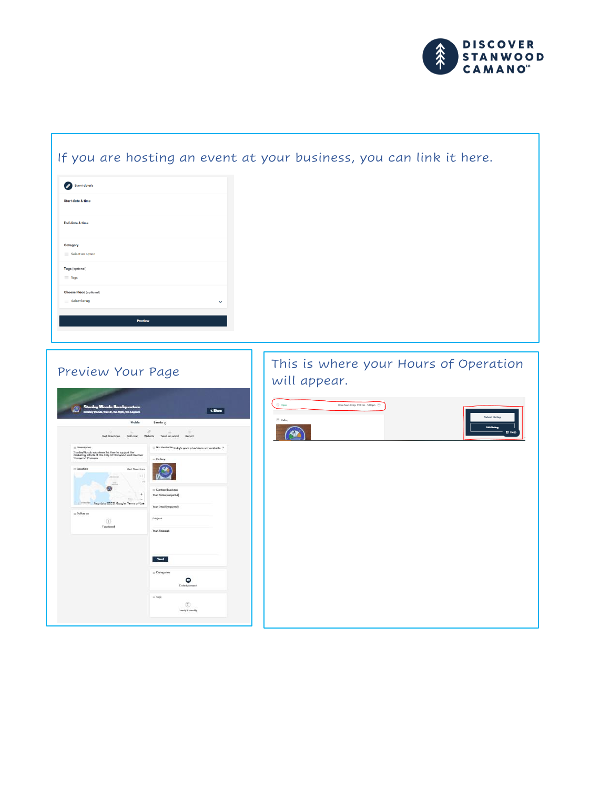

#### If you are hosting an event at your business, you can link it here.

| Event details                                             |              |
|-----------------------------------------------------------|--------------|
| <b>Start date &amp; time</b>                              |              |
| End date & time                                           |              |
| Category<br>$\equiv$ Select an option                     |              |
| Tags (optional)<br>$\equiv$ Tags                          |              |
| <b>Choose Place</b> (optional)<br>$\equiv$ Select listing | $\checkmark$ |
| <b>Preview</b>                                            |              |



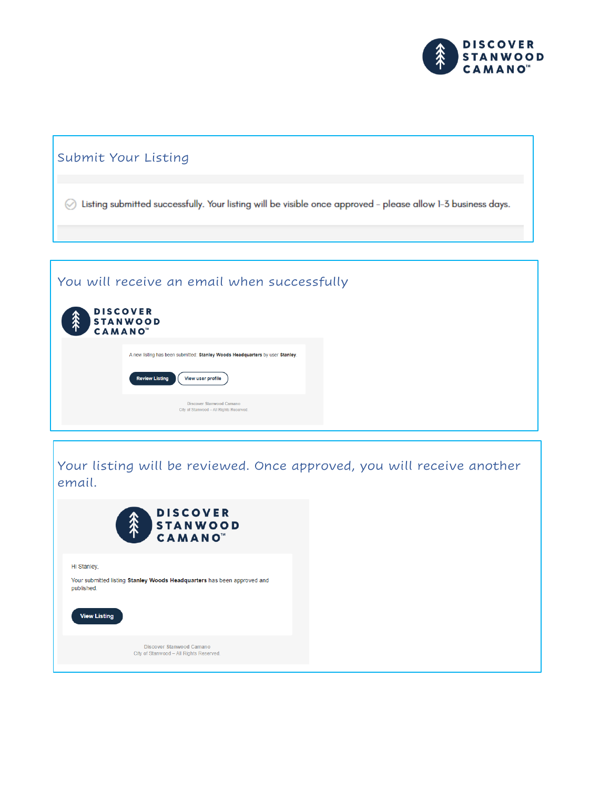

#### Submit Your Listing

⊙ Listing submitted successfully. Your listing will be visible once approved - please allow 1-3 business days.

#### You will receive an email when successfully

Your listing will be reviewed. Once approved, you will receive another email.

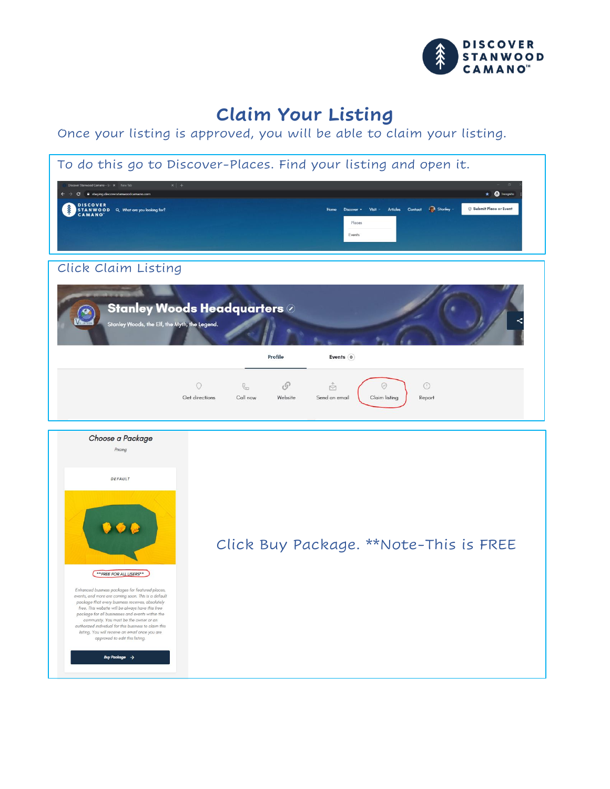

## **Claim Your Listing**

Once your listing is approved, you will be able to claim your listing.